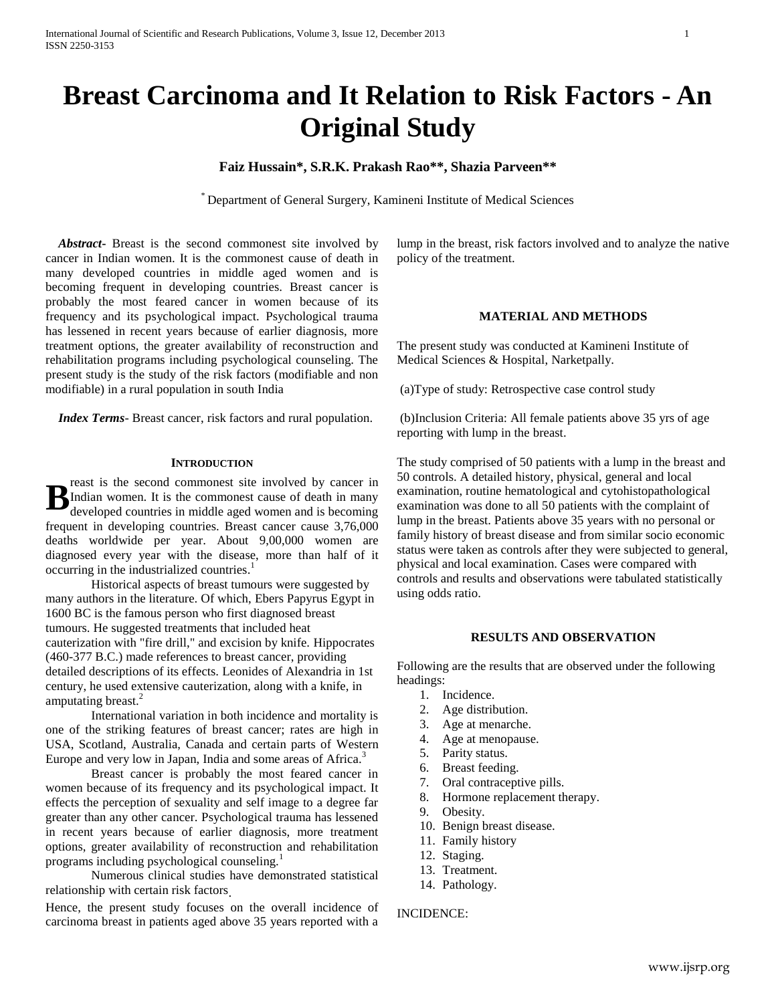# **Breast Carcinoma and It Relation to Risk Factors - An Original Study**

# **Faiz Hussain\*, S.R.K. Prakash Rao\*\*, Shazia Parveen\*\***

\* Department of General Surgery, Kamineni Institute of Medical Sciences

 *Abstract***-** Breast is the second commonest site involved by cancer in Indian women. It is the commonest cause of death in many developed countries in middle aged women and is becoming frequent in developing countries. Breast cancer is probably the most feared cancer in women because of its frequency and its psychological impact. Psychological trauma has lessened in recent years because of earlier diagnosis, more treatment options, the greater availability of reconstruction and rehabilitation programs including psychological counseling. The present study is the study of the risk factors (modifiable and non modifiable) in a rural population in south India

 *Index Terms*- Breast cancer, risk factors and rural population.

#### **INTRODUCTION**

reast is the second commonest site involved by cancer in Indian women. It is the commonest cause of death in many developed countries in middle aged women and is becoming frequent in developing countries. Breast cancer cause 3,76,000 deaths worldwide per year. About 9,00,000 women are diagnosed every year with the disease, more than half of it occurring in the industrialized countries. 1 **B**

Historical aspects of breast tumours were suggested by many authors in the literature. Of which, Ebers Papyrus Egypt in 1600 BC is the famous person who first diagnosed breast tumours. He suggested treatments that included heat cauterization with "fire drill," and excision by knife. Hippocrates (460-377 B.C.) made references to breast cancer, providing detailed descriptions of its effects. Leonides of Alexandria in 1st century, he used extensive cauterization, along with a knife, in amputating breast.<sup>2</sup>

International variation in both incidence and mortality is one of the striking features of breast cancer; rates are high in USA, Scotland, Australia, Canada and certain parts of Western Europe and very low in Japan, India and some areas of Africa.<sup>3</sup>

Breast cancer is probably the most feared cancer in women because of its frequency and its psychological impact. It effects the perception of sexuality and self image to a degree far greater than any other cancer. Psychological trauma has lessened in recent years because of earlier diagnosis, more treatment options, greater availability of reconstruction and rehabilitation programs including psychological counseling.<sup>1</sup>

Numerous clinical studies have demonstrated statistical relationship with certain risk factors.

Hence, the present study focuses on the overall incidence of carcinoma breast in patients aged above 35 years reported with a lump in the breast, risk factors involved and to analyze the native policy of the treatment.

#### **MATERIAL AND METHODS**

The present study was conducted at Kamineni Institute of Medical Sciences & Hospital, Narketpally.

(a)Type of study: Retrospective case control study

(b)Inclusion Criteria: All female patients above 35 yrs of age reporting with lump in the breast.

The study comprised of 50 patients with a lump in the breast and 50 controls. A detailed history, physical, general and local examination, routine hematological and cytohistopathological examination was done to all 50 patients with the complaint of lump in the breast. Patients above 35 years with no personal or family history of breast disease and from similar socio economic status were taken as controls after they were subjected to general, physical and local examination. Cases were compared with controls and results and observations were tabulated statistically using odds ratio.

# **RESULTS AND OBSERVATION**

Following are the results that are observed under the following headings:

- 1. Incidence.
- 2. Age distribution.
- 3. Age at menarche.
- 4. Age at menopause.
- 5. Parity status.
- 6. Breast feeding.
- 7. Oral contraceptive pills.
- 8. Hormone replacement therapy.
- 9. Obesity.
- 10. Benign breast disease.
- 11. Family history
- 12. Staging.
- 13. Treatment.
- 14. Pathology.

INCIDENCE: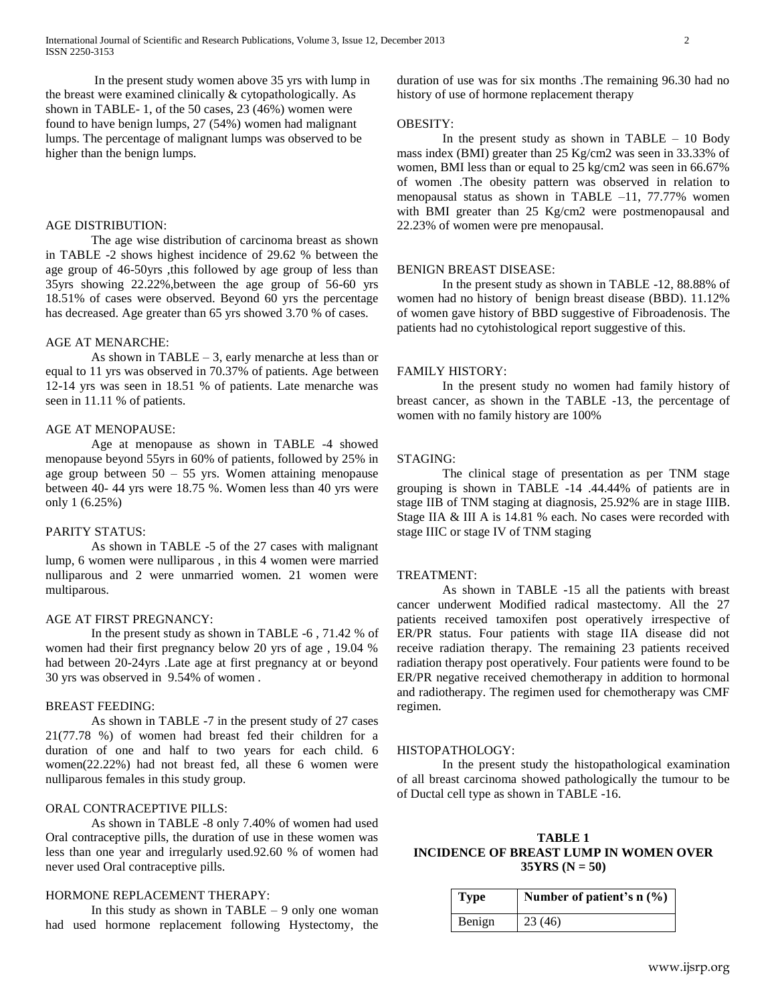In the present study women above 35 yrs with lump in the breast were examined clinically & cytopathologically. As shown in TABLE- 1, of the 50 cases, 23 (46%) women were found to have benign lumps, 27 (54%) women had malignant lumps. The percentage of malignant lumps was observed to be higher than the benign lumps.

# AGE DISTRIBUTION:

The age wise distribution of carcinoma breast as shown in TABLE -2 shows highest incidence of 29.62 % between the age group of 46-50yrs ,this followed by age group of less than 35yrs showing 22.22%,between the age group of 56-60 yrs 18.51% of cases were observed. Beyond 60 yrs the percentage has decreased. Age greater than 65 yrs showed 3.70 % of cases.

## AGE AT MENARCHE:

As shown in TABLE – 3, early menarche at less than or equal to 11 yrs was observed in 70.37% of patients. Age between 12-14 yrs was seen in 18.51 % of patients. Late menarche was seen in 11.11 % of patients.

## AGE AT MENOPAUSE:

Age at menopause as shown in TABLE -4 showed menopause beyond 55yrs in 60% of patients, followed by 25% in age group between  $50 - 55$  yrs. Women attaining menopause between 40- 44 yrs were 18.75 %. Women less than 40 yrs were only 1 (6.25%)

#### PARITY STATUS:

As shown in TABLE -5 of the 27 cases with malignant lump, 6 women were nulliparous , in this 4 women were married nulliparous and 2 were unmarried women. 21 women were multiparous.

## AGE AT FIRST PREGNANCY:

In the present study as shown in TABLE -6 , 71.42 % of women had their first pregnancy below 20 yrs of age , 19.04 % had between 20-24yrs .Late age at first pregnancy at or beyond 30 yrs was observed in 9.54% of women .

#### BREAST FEEDING:

As shown in TABLE -7 in the present study of 27 cases 21(77.78 %) of women had breast fed their children for a duration of one and half to two years for each child. 6 women(22.22%) had not breast fed, all these 6 women were nulliparous females in this study group.

# ORAL CONTRACEPTIVE PILLS:

As shown in TABLE -8 only 7.40% of women had used Oral contraceptive pills, the duration of use in these women was less than one year and irregularly used.92.60 % of women had never used Oral contraceptive pills.

# HORMONE REPLACEMENT THERAPY:

In this study as shown in TABLE  $-9$  only one woman had used hormone replacement following Hystectomy, the

duration of use was for six months .The remaining 96.30 had no history of use of hormone replacement therapy

# OBESITY:

In the present study as shown in TABLE  $-10$  Body mass index (BMI) greater than 25 Kg/cm2 was seen in 33.33% of women, BMI less than or equal to 25 kg/cm2 was seen in 66.67% of women .The obesity pattern was observed in relation to menopausal status as shown in TABLE –11, 77.77% women with BMI greater than 25 Kg/cm2 were postmenopausal and 22.23% of women were pre menopausal.

## BENIGN BREAST DISEASE:

In the present study as shown in TABLE -12, 88.88% of women had no history of benign breast disease (BBD). 11.12% of women gave history of BBD suggestive of Fibroadenosis. The patients had no cytohistological report suggestive of this.

#### FAMILY HISTORY:

In the present study no women had family history of breast cancer, as shown in the TABLE -13, the percentage of women with no family history are 100%

## STAGING:

The clinical stage of presentation as per TNM stage grouping is shown in TABLE -14 .44.44% of patients are in stage IIB of TNM staging at diagnosis, 25.92% are in stage IIIB. Stage IIA & III A is 14.81 % each. No cases were recorded with stage IIIC or stage IV of TNM staging

## TREATMENT:

As shown in TABLE -15 all the patients with breast cancer underwent Modified radical mastectomy. All the 27 patients received tamoxifen post operatively irrespective of ER/PR status. Four patients with stage IIA disease did not receive radiation therapy. The remaining 23 patients received radiation therapy post operatively. Four patients were found to be ER/PR negative received chemotherapy in addition to hormonal and radiotherapy. The regimen used for chemotherapy was CMF regimen.

#### HISTOPATHOLOGY:

In the present study the histopathological examination of all breast carcinoma showed pathologically the tumour to be of Ductal cell type as shown in TABLE -16.

**TABLE 1 INCIDENCE OF BREAST LUMP IN WOMEN OVER 35YRS (N = 50)**

| <b>Type</b> | Number of patient's $n$ (%) |
|-------------|-----------------------------|
| Benign      | 23(46)                      |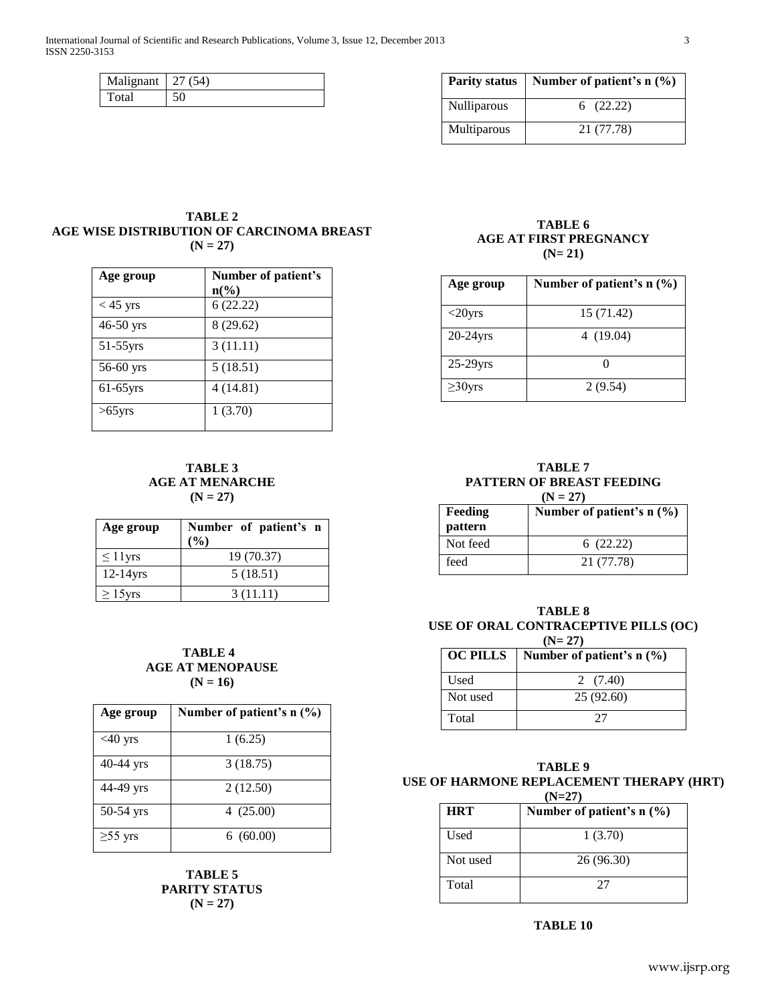| Malignant   $27(54)$ |    |
|----------------------|----|
| Total                | 50 |

|                    | Parity status   Number of patient's $n$ (%) |  |
|--------------------|---------------------------------------------|--|
| <b>Nulliparous</b> | 6(22.22)                                    |  |
| Multiparous        | 21 (77.78)                                  |  |

# **TABLE 2 AGE WISE DISTRIBUTION OF CARCINOMA BREAST (N = 27)**

| Age group   | Number of patient's<br>$n\left(\%\right)$ |
|-------------|-------------------------------------------|
| $<$ 45 yrs  | 6(22.22)                                  |
| $46-50$ yrs | 8(29.62)                                  |
| $51-55$ yrs | 3(11.11)                                  |
| $56-60$ yrs | 5(18.51)                                  |
| $61-65$ yrs | 4(14.81)                                  |
| $>65$ yrs   | 1(3.70)                                   |

**TABLE 3 AGE AT MENARCHE (N = 27)**

| Age group     | Number of patient's n<br>$($ %) |  |
|---------------|---------------------------------|--|
| $\leq 11$ yrs | 19 (70.37)                      |  |
| $12-14$ yrs   | 5(18.51)                        |  |
| $\geq 15$ yrs | 3(11.11)                        |  |

# **TABLE 4 AGE AT MENOPAUSE (N = 16)**

| Age group     | Number of patient's $n$ (%) |
|---------------|-----------------------------|
| $<$ 40 yrs    | 1(6.25)                     |
| $40-44$ yrs   | 3(18.75)                    |
| 44-49 yrs     | 2(12.50)                    |
| $50-54$ yrs   | 4(25.00)                    |
| $\geq 55$ yrs | 6(60.00)                    |

**TABLE 5 PARITY STATUS (N = 27)**

# **TABLE 6 AGE AT FIRST PREGNANCY (N= 21)**

| Age group     | Number of patient's n (%) |
|---------------|---------------------------|
| $<$ 20 yrs    | 15 (71.42)                |
| $20-24$ yrs   | 4(19.04)                  |
| $25-29$ yrs   |                           |
| $\geq$ 30 yrs | 2(9.54)                   |

**TABLE 7 PATTERN OF BREAST FEEDING**  $(N = 27)$ 

| <b>Feeding</b><br>pattern | Number of patient's $n$ (%) |
|---------------------------|-----------------------------|
| Not feed                  | 6(22.22)                    |
| feed                      | 21 (77.78)                  |

## **TABLE 8 USE OF ORAL CONTRACEPTIVE PILLS (OC) (N= 27)**

| $(13 - 211)$<br><b>OC PILLS</b><br>Number of patient's $n$ (%) |            |
|----------------------------------------------------------------|------------|
| Used                                                           | 2 $(7.40)$ |
| Not used                                                       | 25(92.60)  |
| Total                                                          |            |

# **TABLE 9 USE OF HARMONE REPLACEMENT THERAPY (HRT) (N=27)**

| <b>HRT</b>  | Number of patient's $n$ (%) |
|-------------|-----------------------------|
| <b>Used</b> | 1(3.70)                     |
| Not used    | 26 (96.30)                  |
| Total       | 27                          |

**TABLE 10**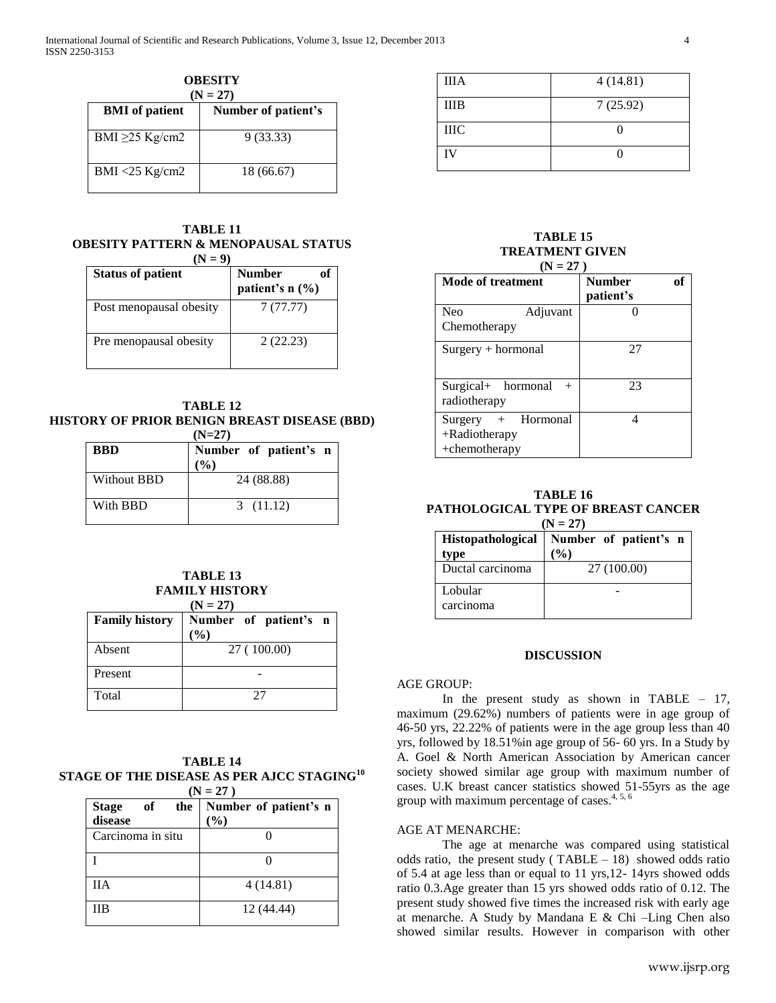| <b>OBESITY</b><br>$(N = 27)$                 |            |  |
|----------------------------------------------|------------|--|
| <b>BMI</b> of patient<br>Number of patient's |            |  |
| BMI $\geq$ 25 Kg/cm2                         | 9(33.33)   |  |
| $BMI < 25$ Kg/cm2                            | 18 (66.67) |  |

# **TABLE 11 OBESITY PATTERN & MENOPAUSAL STATUS**

| $(N = 9)$                |                                        |  |
|--------------------------|----------------------------------------|--|
| <b>Status of patient</b> | <b>Number</b><br>оť<br>patient's n (%) |  |
| Post menopausal obesity  | 7(77.77)                               |  |
| Pre menopausal obesity   | 2(22.23)                               |  |

## **TABLE 12 HISTORY OF PRIOR BENIGN BREAST DISEASE (BBD) (N=27)**

| (152/1)     |                                           |  |  |  |  |
|-------------|-------------------------------------------|--|--|--|--|
| <b>BBD</b>  | Number of patient's n<br>$\mathcal{O}(0)$ |  |  |  |  |
| Without BBD | 24 (88.88)                                |  |  |  |  |
| With BBD    | 3(11.12)                                  |  |  |  |  |

# **TABLE 13 FAMILY HISTORY**

 $(N = 27)$ 

| <b>Family history</b> | Number of patient's n<br>(%) |
|-----------------------|------------------------------|
| Absent                | 27 (100.00)                  |
| Present               |                              |
| Total                 | フフ                           |

## **TABLE 14 STAGE OF THE DISEASE AS PER AJCC STAGING<sup>10</sup>**  $(N = 27)$

|                                      | , , , <i>, ,</i> ,              |
|--------------------------------------|---------------------------------|
| of<br><b>Stage</b><br>the<br>disease | Number of patient's n<br>$(\%)$ |
| Carcinoma in situ                    |                                 |
|                                      |                                 |
| <b>IIA</b>                           | 4(14.81)                        |
| ШB                                   | 12 (44.44)                      |

| <b>IIIA</b> | 4(14.81) |
|-------------|----------|
| <b>IIIB</b> | 7(25.92) |
| <b>IIIC</b> |          |
| <b>IV</b>   |          |

## **TABLE 15 TREATMENT GIVEN (N = 27 )**

| $IN = 211$                                                 |                            |  |  |
|------------------------------------------------------------|----------------------------|--|--|
| <b>Mode of treatment</b>                                   | <b>Number</b><br>patient's |  |  |
| <b>Neo</b><br>Adjuvant<br>Chemotherapy                     |                            |  |  |
| Surgery + hormonal                                         | 27                         |  |  |
| Surgical+ hormonal<br>radiotherapy                         | 23                         |  |  |
| Surgery + Hormonal<br>$+$ Radiotherapy<br>$+$ chemotherapy |                            |  |  |

# **TABLE 16 PATHOLOGICAL TYPE OF BREAST CANCER**

| $(N = 27)$        |                       |  |  |  |  |
|-------------------|-----------------------|--|--|--|--|
| Histopathological | Number of patient's n |  |  |  |  |
| type              | (%)                   |  |  |  |  |
| Ductal carcinoma  | 27 (100.00)           |  |  |  |  |
| Lobular           |                       |  |  |  |  |
| carcinoma         |                       |  |  |  |  |

# **DISCUSSION**

## AGE GROUP:

In the present study as shown in TABLE  $-17$ , maximum (29.62%) numbers of patients were in age group of 46-50 yrs, 22.22% of patients were in the age group less than 40 yrs, followed by 18.51%in age group of 56- 60 yrs. In a Study by A. Goel & North American Association by American cancer society showed similar age group with maximum number of cases. U.K breast cancer statistics showed 51-55yrs as the age group with maximum percentage of cases. $4, 5, 6$ 

# AGE AT MENARCHE:

The age at menarche was compared using statistical odds ratio, the present study ( $TABLE - 18$ ) showed odds ratio of 5.4 at age less than or equal to 11 yrs,12- 14yrs showed odds ratio 0.3.Age greater than 15 yrs showed odds ratio of 0.12. The present study showed five times the increased risk with early age at menarche. A Study by Mandana E & Chi –Ling Chen also showed similar results. However in comparison with other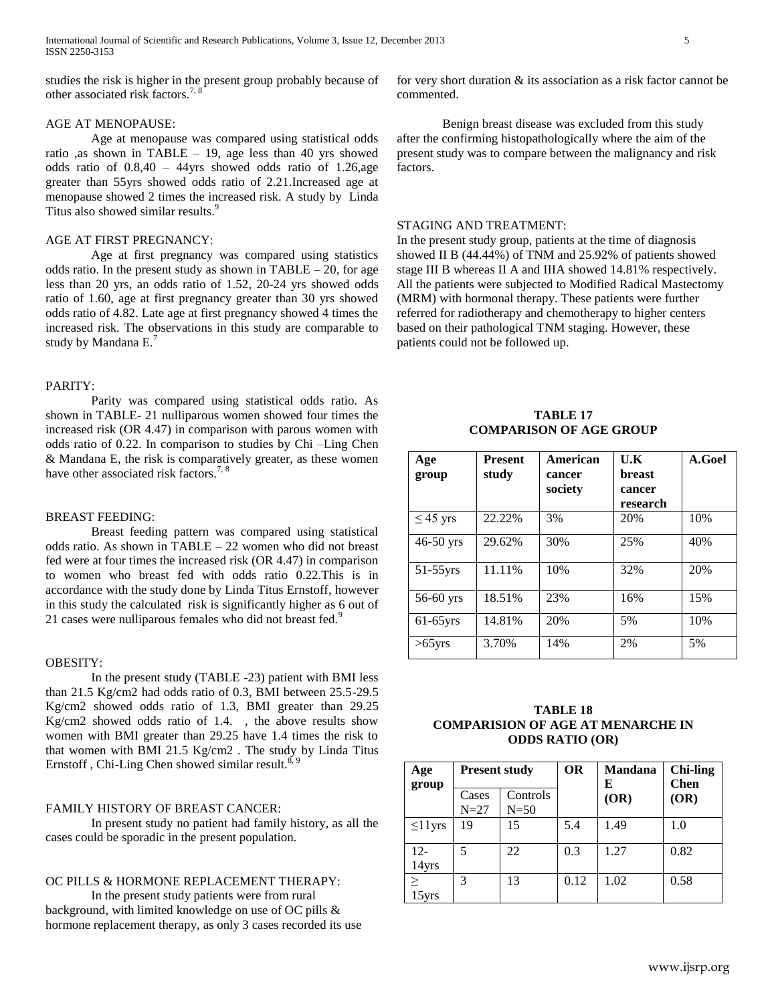studies the risk is higher in the present group probably because of other associated risk factors.<sup>7,</sup>

# AGE AT MENOPAUSE:

Age at menopause was compared using statistical odds ratio ,as shown in TABLE – 19, age less than 40 yrs showed odds ratio of 0.8,40 – 44yrs showed odds ratio of 1.26,age greater than 55yrs showed odds ratio of 2.21.Increased age at menopause showed 2 times the increased risk. A study by Linda Titus also showed similar results. 9

## AGE AT FIRST PREGNANCY:

Age at first pregnancy was compared using statistics odds ratio. In the present study as shown in  $TABLE - 20$ , for age less than 20 yrs, an odds ratio of 1.52, 20-24 yrs showed odds ratio of 1.60, age at first pregnancy greater than 30 yrs showed odds ratio of 4.82. Late age at first pregnancy showed 4 times the increased risk. The observations in this study are comparable to study by Mandana E.<sup>7</sup>

# PARITY:

Parity was compared using statistical odds ratio. As shown in TABLE- 21 nulliparous women showed four times the increased risk (OR 4.47) in comparison with parous women with odds ratio of 0.22. In comparison to studies by Chi –Ling Chen & Mandana E, the risk is comparatively greater, as these women have other associated risk factors.<sup>7, 8</sup>

## BREAST FEEDING:

Breast feeding pattern was compared using statistical odds ratio. As shown in TABLE – 22 women who did not breast fed were at four times the increased risk (OR 4.47) in comparison to women who breast fed with odds ratio 0.22.This is in accordance with the study done by Linda Titus Ernstoff, however in this study the calculated risk is significantly higher as 6 out of 21 cases were nulliparous females who did not breast fed.<sup>9</sup>

# OBESITY:

In the present study (TABLE -23) patient with BMI less than 21.5 Kg/cm2 had odds ratio of 0.3, BMI between 25.5-29.5 Kg/cm2 showed odds ratio of 1.3, BMI greater than 29.25 Kg/cm2 showed odds ratio of 1.4. , the above results show women with BMI greater than 29.25 have 1.4 times the risk to that women with BMI 21.5 Kg/cm2 . The study by Linda Titus Ernstoff, Chi-Ling Chen showed similar result.<sup>8, 9</sup>

# FAMILY HISTORY OF BREAST CANCER:

In present study no patient had family history, as all the cases could be sporadic in the present population.

## OC PILLS & HORMONE REPLACEMENT THERAPY:

In the present study patients were from rural background, with limited knowledge on use of OC pills & hormone replacement therapy, as only 3 cases recorded its use for very short duration & its association as a risk factor cannot be commented.

Benign breast disease was excluded from this study after the confirming histopathologically where the aim of the present study was to compare between the malignancy and risk factors.

# STAGING AND TREATMENT:

In the present study group, patients at the time of diagnosis showed II B (44.44%) of TNM and 25.92% of patients showed stage III B whereas II A and IIIA showed 14.81% respectively. All the patients were subjected to Modified Radical Mastectomy (MRM) with hormonal therapy. These patients were further referred for radiotherapy and chemotherapy to higher centers based on their pathological TNM staging. However, these patients could not be followed up.

**TABLE 17 COMPARISON OF AGE GROUP**

| Age<br>group  | <b>Present</b><br>study | American<br>cancer | U.K<br><b>breast</b> | A.Goel |
|---------------|-------------------------|--------------------|----------------------|--------|
|               |                         | society            | cancer<br>research   |        |
| $\leq$ 45 yrs | 22.22%                  | 3%                 | 20%                  | 10%    |
| $46-50$ yrs   | 29.62%                  | 30%                | 25%                  | 40%    |
| $51-55$ yrs   | 11.11%                  | 10%                | 32%                  | 20%    |
| 56-60 yrs     | 18.51%                  | 23%                | 16%                  | 15%    |
| $61-65$ vrs   | 14.81%                  | 20%                | 5%                   | 10%    |
| $>65$ yrs     | 3.70%                   | 14%                | 2%                   | 5%     |

| TABLE 18                                 |
|------------------------------------------|
| <b>COMPARISION OF AGE AT MENARCHE IN</b> |
| <b>ODDS RATIO (OR)</b>                   |

| Age<br>group    | <b>Present study</b> |                    | <b>OR</b> | <b>Mandana</b><br>Е | <b>Chi-ling</b><br><b>Chen</b> |
|-----------------|----------------------|--------------------|-----------|---------------------|--------------------------------|
|                 | Cases<br>$N=27$      | Controls<br>$N=50$ |           | (OR)                | (OR)                           |
| $\leq$ 1 lyrs   | 19                   | 15                 | 5.4       | 1.49                | 1.0                            |
| 12-<br>14yrs    | 5                    | 22                 | 0.3       | 1.27                | 0.82                           |
| $\geq$<br>15yrs | 3                    | 13                 | 0.12      | 1.02                | 0.58                           |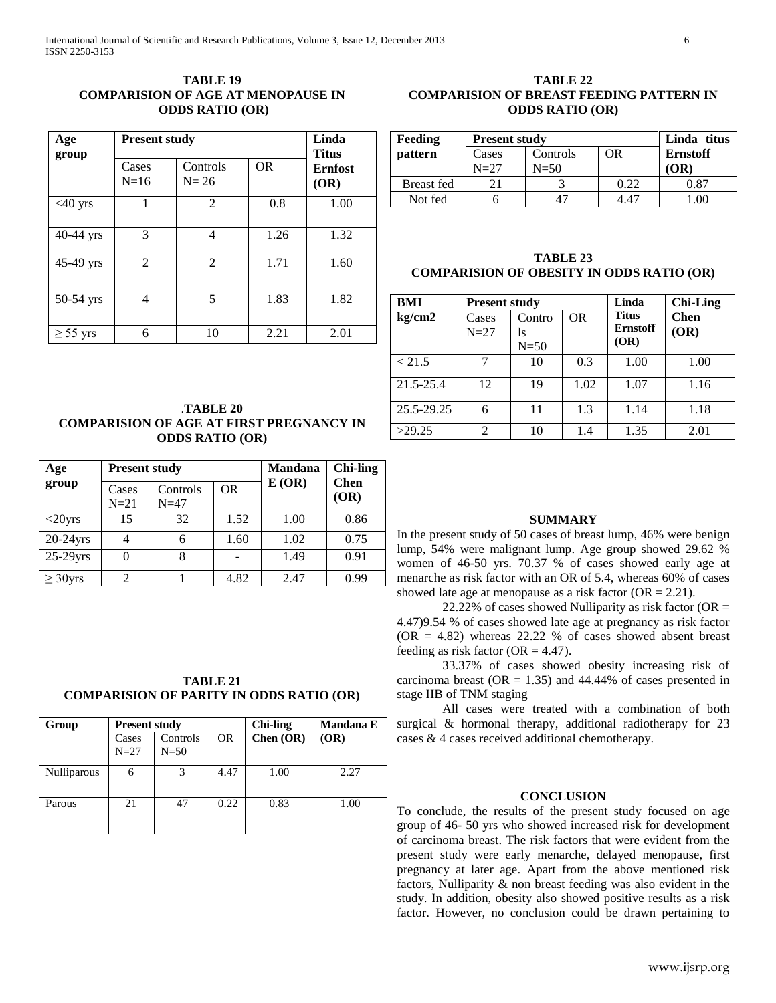# **TABLE 19 COMPARISION OF AGE AT MENOPAUSE IN ODDS RATIO (OR)**

| Age           | <b>Present study</b> |                                   |      |                                        |  |
|---------------|----------------------|-----------------------------------|------|----------------------------------------|--|
| group         | Cases<br>$N=16$      | Controls<br><b>OR</b><br>$N = 26$ |      | <b>Titus</b><br><b>Ernfost</b><br>(OR) |  |
| $<40$ yrs     |                      | $\mathfrak{D}$                    | 0.8  | 1.00                                   |  |
| 40-44 yrs     | 3                    | 4                                 | 1.26 | 1.32                                   |  |
| 45-49 yrs     | 2                    | 2                                 | 1.71 | 1.60                                   |  |
| 50-54 yrs     | 4                    | 5                                 | 1.83 | 1.82                                   |  |
| $\geq$ 55 yrs | 6                    | 10                                | 2.21 | 2.01                                   |  |

# **TABLE 22 COMPARISION OF BREAST FEEDING PATTERN IN ODDS RATIO (OR)**

| <b>Feeding</b>    | <b>Present study</b> | Linda titus     |      |      |
|-------------------|----------------------|-----------------|------|------|
| pattern           | Cases                | <b>Ernstoff</b> |      |      |
|                   | $N=27$               | $N = 50$        |      | (OR) |
| <b>Breast</b> fed |                      |                 | 0.22 | 0.87 |
| Not fed           |                      |                 | 1 47 |      |

**TABLE 23 COMPARISION OF OBESITY IN ODDS RATIO (OR)**

| BMI        | <b>Present study</b> |              |                | Linda                           | <b>Chi-Ling</b> |
|------------|----------------------|--------------|----------------|---------------------------------|-----------------|
| kg/cm2     | Cases                | Contro       | 0 <sub>R</sub> | <b>Titus</b><br><b>Ernstoff</b> | <b>Chen</b>     |
|            | $N=27$               | ls<br>$N=50$ |                | (OR)                            | (OR)            |
| < 21.5     | 7                    | 10           | 0.3            | 1.00                            | 1.00            |
| 21.5-25.4  | 12                   | 19           | 1.02           | 1.07                            | 1.16            |
| 25.5-29.25 | 6                    | 11           | 1.3            | 1.14                            | 1.18            |
| >29.25     | 2                    | 10           | 1.4            | 1.35                            | 2.01            |

# .**TABLE 20 COMPARISION OF AGE AT FIRST PREGNANCY IN ODDS RATIO (OR)**

| Age                    | <b>Present study</b> |                    |           | <b>Mandana</b> | <b>Chi-ling</b>     |
|------------------------|----------------------|--------------------|-----------|----------------|---------------------|
| group                  | Cases<br>$N=21$      | Controls<br>$N=47$ | <b>OR</b> | E(OR)          | <b>Chen</b><br>(OR) |
| $\langle 20 \gamma rs$ | 15                   | 32                 | 1.52      | 1.00           | 0.86                |
| $20-24$ yrs            | 4                    | 6                  | 1.60      | 1.02           | 0.75                |
| $25-29$ yrs            | 0                    | 8                  |           | 1.49           | 0.91                |
| $\geq$ 30yrs           | 2                    |                    | 4.82      | 2.47           | 0.99                |

# **TABLE 21 COMPARISION OF PARITY IN ODDS RATIO (OR)**

| Group              | <b>Present study</b> |                    |           | <b>Chi-ling</b> | Mandana E |
|--------------------|----------------------|--------------------|-----------|-----------------|-----------|
|                    | Cases<br>$N=27$      | Controls<br>$N=50$ | <b>OR</b> | Chen $(OR)$     | (OR)      |
| <b>Nulliparous</b> | 6                    | 3                  | 4.47      | 1.00            | 2.27      |
| Parous             | 21                   | 47                 | 0.22      | 0.83            | 1.00      |

# **SUMMARY**

In the present study of 50 cases of breast lump, 46% were benign lump, 54% were malignant lump. Age group showed 29.62 % women of 46-50 yrs. 70.37 % of cases showed early age at menarche as risk factor with an OR of 5.4, whereas 60% of cases showed late age at menopause as a risk factor  $(OR = 2.21)$ .

22.22% of cases showed Nulliparity as risk factor (OR = 4.47)9.54 % of cases showed late age at pregnancy as risk factor  $(OR = 4.82)$  whereas 22.22 % of cases showed absent breast feeding as risk factor ( $OR = 4.47$ ).

33.37% of cases showed obesity increasing risk of carcinoma breast ( $OR = 1.35$ ) and 44.44% of cases presented in stage IIB of TNM staging

All cases were treated with a combination of both surgical & hormonal therapy, additional radiotherapy for 23 cases & 4 cases received additional chemotherapy.

# **CONCLUSION**

To conclude, the results of the present study focused on age group of 46- 50 yrs who showed increased risk for development of carcinoma breast. The risk factors that were evident from the present study were early menarche, delayed menopause, first pregnancy at later age. Apart from the above mentioned risk factors, Nulliparity & non breast feeding was also evident in the study. In addition, obesity also showed positive results as a risk factor. However, no conclusion could be drawn pertaining to